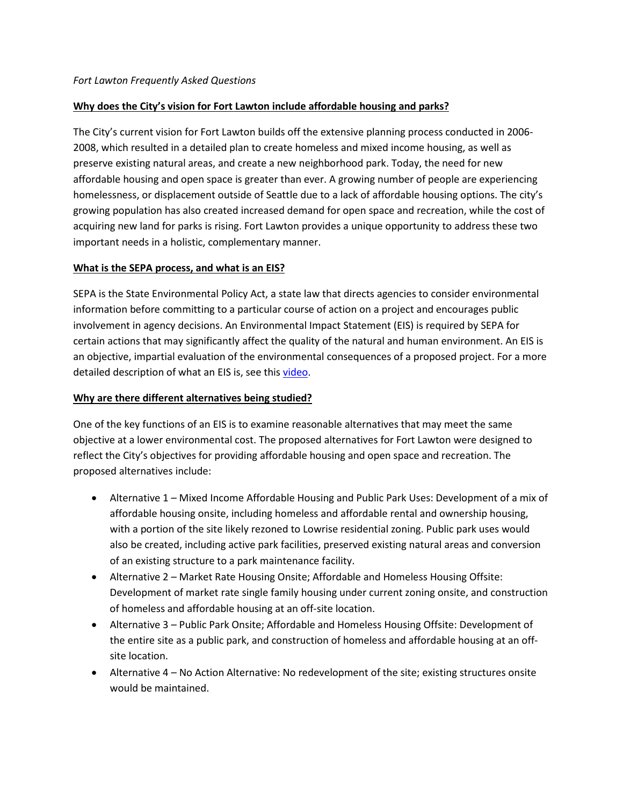## **Why does the City's vision for Fort Lawton include affordable housing and parks?**

The City's current vision for Fort Lawton builds off the extensive planning process conducted in 2006- 2008, which resulted in a detailed plan to create homeless and mixed income housing, as well as preserve existing natural areas, and create a new neighborhood park. Today, the need for new affordable housing and open space is greater than ever. A growing number of people are experiencing homelessness, or displacement outside of Seattle due to a lack of affordable housing options. The city's growing population has also created increased demand for open space and recreation, while the cost of acquiring new land for parks is rising. Fort Lawton provides a unique opportunity to address these two important needs in a holistic, complementary manner.

# **What is the SEPA process, and what is an EIS?**

SEPA is the State Environmental Policy Act, a state law that directs agencies to consider environmental information before committing to a particular course of action on a project and encourages public involvement in agency decisions. An Environmental Impact Statement (EIS) is required by SEPA for certain actions that may significantly affect the quality of the natural and human environment. An EIS is an objective, impartial evaluation of the environmental consequences of a proposed project. For a more detailed description of what an EIS is, see this [video.](http://web8.seattle.gov/videos?videoid=x76789)

## **Why are there different alternatives being studied?**

One of the key functions of an EIS is to examine reasonable alternatives that may meet the same objective at a lower environmental cost. The proposed alternatives for Fort Lawton were designed to reflect the City's objectives for providing affordable housing and open space and recreation. The proposed alternatives include:

- Alternative 1 Mixed Income Affordable Housing and Public Park Uses: Development of a mix of affordable housing onsite, including homeless and affordable rental and ownership housing, with a portion of the site likely rezoned to Lowrise residential zoning. Public park uses would also be created, including active park facilities, preserved existing natural areas and conversion of an existing structure to a park maintenance facility.
- Alternative 2 Market Rate Housing Onsite; Affordable and Homeless Housing Offsite: Development of market rate single family housing under current zoning onsite, and construction of homeless and affordable housing at an off-site location.
- Alternative 3 Public Park Onsite; Affordable and Homeless Housing Offsite: Development of the entire site as a public park, and construction of homeless and affordable housing at an offsite location.
- Alternative 4 No Action Alternative: No redevelopment of the site; existing structures onsite would be maintained.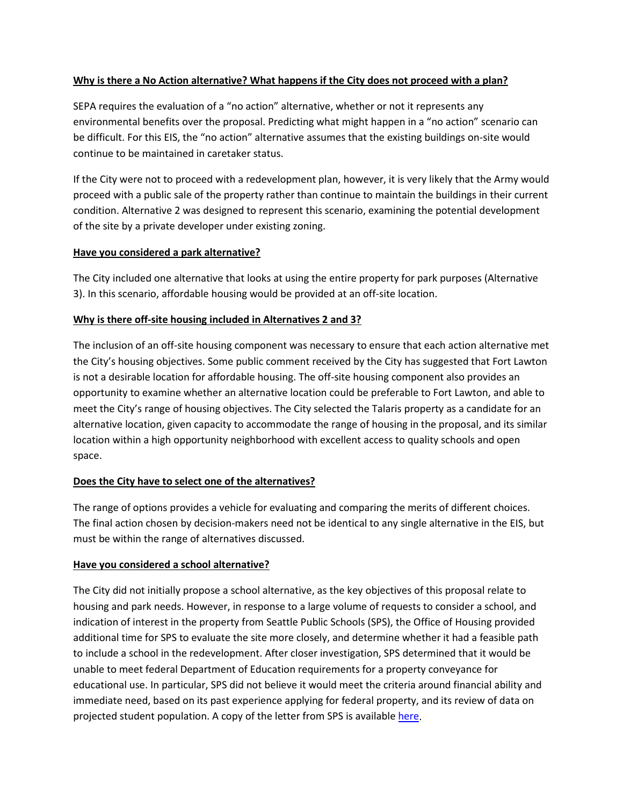#### **Why is there a No Action alternative? What happens if the City does not proceed with a plan?**

SEPA requires the evaluation of a "no action" alternative, whether or not it represents any environmental benefits over the proposal. Predicting what might happen in a "no action" scenario can be difficult. For this EIS, the "no action" alternative assumes that the existing buildings on-site would continue to be maintained in caretaker status.

If the City were not to proceed with a redevelopment plan, however, it is very likely that the Army would proceed with a public sale of the property rather than continue to maintain the buildings in their current condition. Alternative 2 was designed to represent this scenario, examining the potential development of the site by a private developer under existing zoning.

#### **Have you considered a park alternative?**

The City included one alternative that looks at using the entire property for park purposes (Alternative 3). In this scenario, affordable housing would be provided at an off-site location.

#### **Why is there off-site housing included in Alternatives 2 and 3?**

The inclusion of an off-site housing component was necessary to ensure that each action alternative met the City's housing objectives. Some public comment received by the City has suggested that Fort Lawton is not a desirable location for affordable housing. The off-site housing component also provides an opportunity to examine whether an alternative location could be preferable to Fort Lawton, and able to meet the City's range of housing objectives. The City selected the Talaris property as a candidate for an alternative location, given capacity to accommodate the range of housing in the proposal, and its similar location within a high opportunity neighborhood with excellent access to quality schools and open space.

## **Does the City have to select one of the alternatives?**

The range of options provides a vehicle for evaluating and comparing the merits of different choices. The final action chosen by decision-makers need not be identical to any single alternative in the EIS, but must be within the range of alternatives discussed.

## **Have you considered a school alternative?**

The City did not initially propose a school alternative, as the key objectives of this proposal relate to housing and park needs. However, in response to a large volume of requests to consider a school, and indication of interest in the property from Seattle Public Schools (SPS), the Office of Housing provided additional time for SPS to evaluate the site more closely, and determine whether it had a feasible path to include a school in the redevelopment. After closer investigation, SPS determined that it would be unable to meet federal Department of Education requirements for a property conveyance for educational use. In particular, SPS did not believe it would meet the criteria around financial ability and immediate need, based on its past experience applying for federal property, and its review of data on projected student population. A copy of the letter from SPS is available [here.](http://www.seattle.gov/Documents/Departments/Housing/Footer%20Pages/Fort%20Lawton%20Right%20Sidebar/Letter_from_SPS.pdf)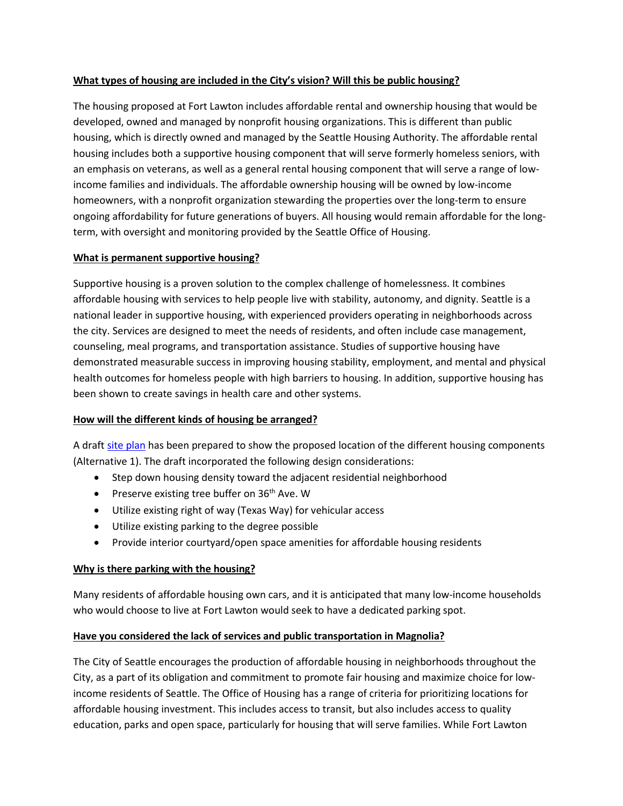#### **What types of housing are included in the City's vision? Will this be public housing?**

The housing proposed at Fort Lawton includes affordable rental and ownership housing that would be developed, owned and managed by nonprofit housing organizations. This is different than public housing, which is directly owned and managed by the Seattle Housing Authority. The affordable rental housing includes both a supportive housing component that will serve formerly homeless seniors, with an emphasis on veterans, as well as a general rental housing component that will serve a range of lowincome families and individuals. The affordable ownership housing will be owned by low-income homeowners, with a nonprofit organization stewarding the properties over the long-term to ensure ongoing affordability for future generations of buyers. All housing would remain affordable for the longterm, with oversight and monitoring provided by the Seattle Office of Housing.

#### **What is permanent supportive housing?**

Supportive housing is a proven solution to the complex challenge of homelessness. It combines affordable housing with services to help people live with stability, autonomy, and dignity. Seattle is a national leader in supportive housing, with experienced providers operating in neighborhoods across the city. Services are designed to meet the needs of residents, and often include case management, counseling, meal programs, and transportation assistance. Studies of supportive housing have demonstrated measurable success in improving housing stability, employment, and mental and physical health outcomes for homeless people with high barriers to housing. In addition, supportive housing has been shown to create savings in health care and other systems.

#### **How will the different kinds of housing be arranged?**

A draft [site plan](http://www.seattle.gov/Documents/Departments/Housing/Footer%20Pages/Fort%20Lawton%20Right%20Sidebar/FL_Site_Plan.pdf) has been prepared to show the proposed location of the different housing components (Alternative 1). The draft incorporated the following design considerations:

- Step down housing density toward the adjacent residential neighborhood
- Preserve existing tree buffer on  $36<sup>th</sup>$  Ave. W
- Utilize existing right of way (Texas Way) for vehicular access
- Utilize existing parking to the degree possible
- Provide interior courtyard/open space amenities for affordable housing residents

## **Why is there parking with the housing?**

Many residents of affordable housing own cars, and it is anticipated that many low-income households who would choose to live at Fort Lawton would seek to have a dedicated parking spot.

## **Have you considered the lack of services and public transportation in Magnolia?**

The City of Seattle encourages the production of affordable housing in neighborhoods throughout the City, as a part of its obligation and commitment to promote fair housing and maximize choice for lowincome residents of Seattle. The Office of Housing has a range of criteria for prioritizing locations for affordable housing investment. This includes access to transit, but also includes access to quality education, parks and open space, particularly for housing that will serve families. While Fort Lawton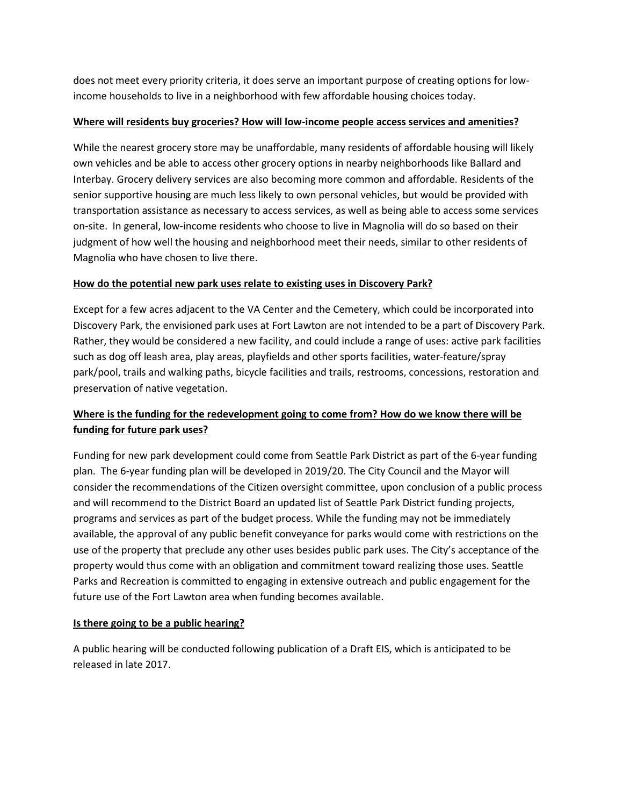does not meet every priority criteria, it does serve an important purpose of creating options for lowincome households to live in a neighborhood with few affordable housing choices today.

## **Where will residents buy groceries? How will low-income people access services and amenities?**

While the nearest grocery store may be unaffordable, many residents of affordable housing will likely own vehicles and be able to access other grocery options in nearby neighborhoods like Ballard and Interbay. Grocery delivery services are also becoming more common and affordable. Residents of the senior supportive housing are much less likely to own personal vehicles, but would be provided with transportation assistance as necessary to access services, as well as being able to access some services on-site. In general, low-income residents who choose to live in Magnolia will do so based on their judgment of how well the housing and neighborhood meet their needs, similar to other residents of Magnolia who have chosen to live there.

# **How do the potential new park uses relate to existing uses in Discovery Park?**

Except for a few acres adjacent to the VA Center and the Cemetery, which could be incorporated into Discovery Park, the envisioned park uses at Fort Lawton are not intended to be a part of Discovery Park. Rather, they would be considered a new facility, and could include a range of uses: active park facilities such as dog off leash area, play areas, playfields and other sports facilities, water-feature/spray park/pool, trails and walking paths, bicycle facilities and trails, restrooms, concessions, restoration and preservation of native vegetation.

# **Where is the funding for the redevelopment going to come from? How do we know there will be funding for future park uses?**

Funding for new park development could come from Seattle Park District as part of the 6-year funding plan. The 6-year funding plan will be developed in 2019/20. The City Council and the Mayor will consider the recommendations of the Citizen oversight committee, upon conclusion of a public process and will recommend to the District Board an updated list of Seattle Park District funding projects, programs and services as part of the budget process. While the funding may not be immediately available, the approval of any public benefit conveyance for parks would come with restrictions on the use of the property that preclude any other uses besides public park uses. The City's acceptance of the property would thus come with an obligation and commitment toward realizing those uses. Seattle Parks and Recreation is committed to engaging in extensive outreach and public engagement for the future use of the Fort Lawton area when funding becomes available.

# **Is there going to be a public hearing?**

A public hearing will be conducted following publication of a Draft EIS, which is anticipated to be released in late 2017.